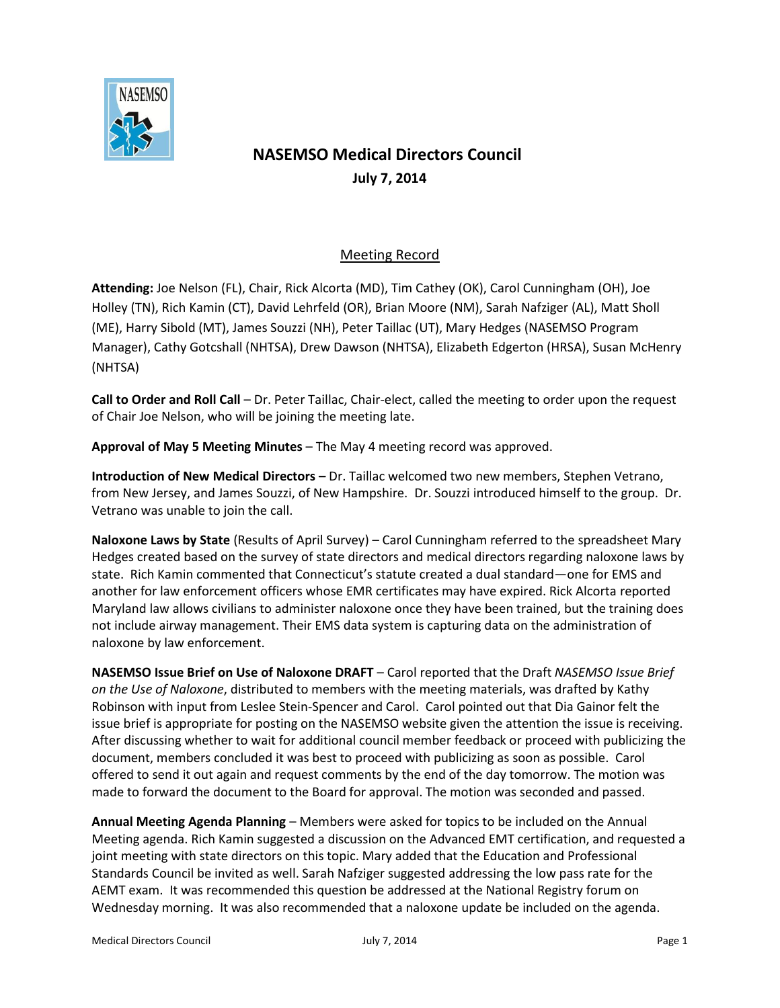

## **NASEMSO Medical Directors Council July 7, 2014**

## Meeting Record

**Attending:** Joe Nelson (FL), Chair, Rick Alcorta (MD), Tim Cathey (OK), Carol Cunningham (OH), Joe Holley (TN), Rich Kamin (CT), David Lehrfeld (OR), Brian Moore (NM), Sarah Nafziger (AL), Matt Sholl (ME), Harry Sibold (MT), James Souzzi (NH), Peter Taillac (UT), Mary Hedges (NASEMSO Program Manager), Cathy Gotcshall (NHTSA), Drew Dawson (NHTSA), Elizabeth Edgerton (HRSA), Susan McHenry (NHTSA)

**Call to Order and Roll Call** – Dr. Peter Taillac, Chair-elect, called the meeting to order upon the request of Chair Joe Nelson, who will be joining the meeting late.

**Approval of May 5 Meeting Minutes** – The May 4 meeting record was approved.

**Introduction of New Medical Directors –** Dr. Taillac welcomed two new members, Stephen Vetrano, from New Jersey, and James Souzzi, of New Hampshire. Dr. Souzzi introduced himself to the group. Dr. Vetrano was unable to join the call.

**Naloxone Laws by State** (Results of April Survey) – Carol Cunningham referred to the spreadsheet Mary Hedges created based on the survey of state directors and medical directors regarding naloxone laws by state. Rich Kamin commented that Connecticut's statute created a dual standard—one for EMS and another for law enforcement officers whose EMR certificates may have expired. Rick Alcorta reported Maryland law allows civilians to administer naloxone once they have been trained, but the training does not include airway management. Their EMS data system is capturing data on the administration of naloxone by law enforcement.

**NASEMSO Issue Brief on Use of Naloxone DRAFT** – Carol reported that the Draft *NASEMSO Issue Brief on the Use of Naloxone*, distributed to members with the meeting materials, was drafted by Kathy Robinson with input from Leslee Stein-Spencer and Carol. Carol pointed out that Dia Gainor felt the issue brief is appropriate for posting on the NASEMSO website given the attention the issue is receiving. After discussing whether to wait for additional council member feedback or proceed with publicizing the document, members concluded it was best to proceed with publicizing as soon as possible. Carol offered to send it out again and request comments by the end of the day tomorrow. The motion was made to forward the document to the Board for approval. The motion was seconded and passed.

**Annual Meeting Agenda Planning** – Members were asked for topics to be included on the Annual Meeting agenda. Rich Kamin suggested a discussion on the Advanced EMT certification, and requested a joint meeting with state directors on this topic. Mary added that the Education and Professional Standards Council be invited as well. Sarah Nafziger suggested addressing the low pass rate for the AEMT exam. It was recommended this question be addressed at the National Registry forum on Wednesday morning. It was also recommended that a naloxone update be included on the agenda.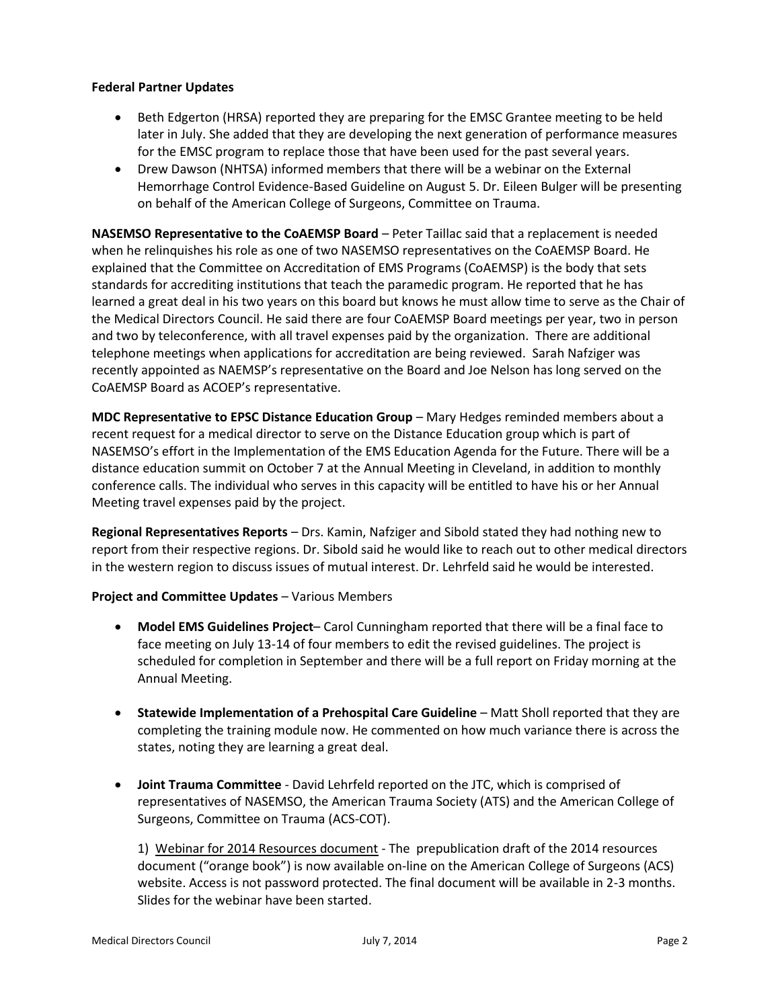## **Federal Partner Updates**

- Beth Edgerton (HRSA) reported they are preparing for the EMSC Grantee meeting to be held later in July. She added that they are developing the next generation of performance measures for the EMSC program to replace those that have been used for the past several years.
- Drew Dawson (NHTSA) informed members that there will be a webinar on the External Hemorrhage Control Evidence-Based Guideline on August 5. Dr. Eileen Bulger will be presenting on behalf of the American College of Surgeons, Committee on Trauma.

**NASEMSO Representative to the CoAEMSP Board** – Peter Taillac said that a replacement is needed when he relinquishes his role as one of two NASEMSO representatives on the CoAEMSP Board. He explained that the Committee on Accreditation of EMS Programs (CoAEMSP) is the body that sets standards for accrediting institutions that teach the paramedic program. He reported that he has learned a great deal in his two years on this board but knows he must allow time to serve as the Chair of the Medical Directors Council. He said there are four CoAEMSP Board meetings per year, two in person and two by teleconference, with all travel expenses paid by the organization. There are additional telephone meetings when applications for accreditation are being reviewed. Sarah Nafziger was recently appointed as NAEMSP's representative on the Board and Joe Nelson has long served on the CoAEMSP Board as ACOEP's representative.

**MDC Representative to EPSC Distance Education Group** – Mary Hedges reminded members about a recent request for a medical director to serve on the Distance Education group which is part of NASEMSO's effort in the Implementation of the EMS Education Agenda for the Future. There will be a distance education summit on October 7 at the Annual Meeting in Cleveland, in addition to monthly conference calls. The individual who serves in this capacity will be entitled to have his or her Annual Meeting travel expenses paid by the project.

**Regional Representatives Reports** – Drs. Kamin, Nafziger and Sibold stated they had nothing new to report from their respective regions. Dr. Sibold said he would like to reach out to other medical directors in the western region to discuss issues of mutual interest. Dr. Lehrfeld said he would be interested.

## **Project and Committee Updates** – Various Members

- **Model EMS Guidelines Project** Carol Cunningham reported that there will be a final face to face meeting on July 13-14 of four members to edit the revised guidelines. The project is scheduled for completion in September and there will be a full report on Friday morning at the Annual Meeting.
- **Statewide Implementation of a Prehospital Care Guideline Matt Sholl reported that they are** completing the training module now. He commented on how much variance there is across the states, noting they are learning a great deal.
- **Joint Trauma Committee** David Lehrfeld reported on the JTC, which is comprised of representatives of NASEMSO, the American Trauma Society (ATS) and the American College of Surgeons, Committee on Trauma (ACS-COT).

1) Webinar for 2014 Resources document - The prepublication draft of the 2014 resources document ("orange book") is now available on-line on the American College of Surgeons (ACS) website. Access is not password protected. The final document will be available in 2-3 months. Slides for the webinar have been started.